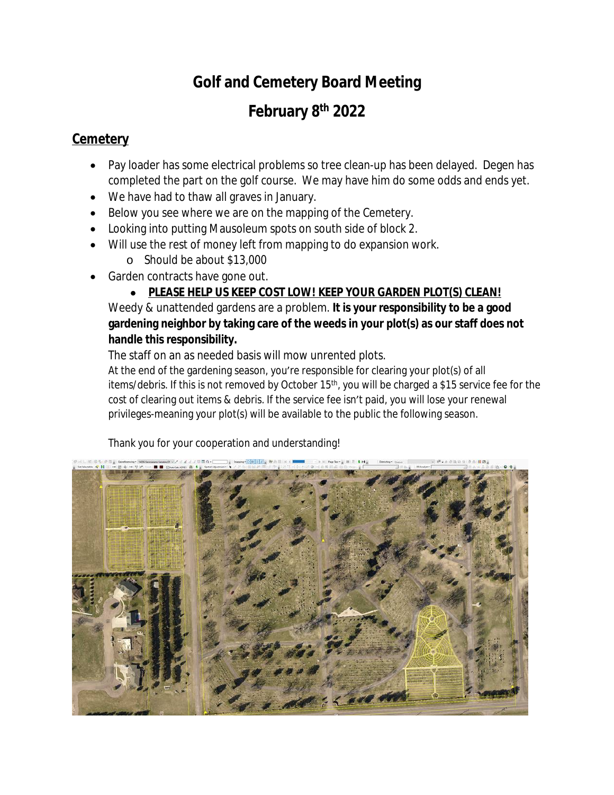# **Golf and Cemetery Board Meeting**

## **February 8th 2022**

### **Cemetery**

- Pay loader has some electrical problems so tree clean-up has been delayed. Degen has completed the part on the golf course. We may have him do some odds and ends yet.
- We have had to thaw all graves in January.
- Below you see where we are on the mapping of the Cemetery.
- Looking into putting Mausoleum spots on south side of block 2.
- Will use the rest of money left from mapping to do expansion work.
	- o Should be about \$13,000
- Garden contracts have gone out.

#### **PLEASE HELP US KEEP COST LOW! KEEP YOUR GARDEN PLOT(S) CLEAN!** Weedy & unattended gardens are a problem. **It is your responsibility to be a good gardening neighbor by taking care of the weeds in your plot(s) as our staff does not handle this responsibility.**

The staff on an as needed basis will mow unrented plots.

At the end of the gardening season, you're responsible for clearing your plot(s) of all items/debris. If this is not removed by October 15<sup>th</sup>, you will be charged a \$15 service fee for the cost of clearing out items & debris. If the service fee isn't paid, you will lose your renewal privileges-meaning your plot(s) will be available to the public the following season.

Thank you for your cooperation and understanding!